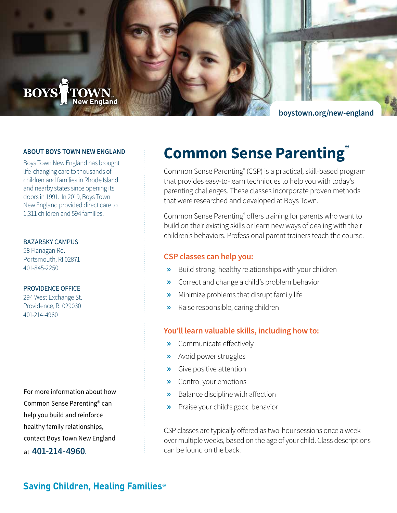

#### **ABOUT BOYS TOWN NEW ENGLAND**

Boys Town New England has brought life-changing care to thousands of children and families in Rhode Island and nearby states since opening its doors in 1991. In 2019, Boys Town New England provided direct care to 1,311 children and 594 families.

## BAZARSKY CAMPUS

58 Flanagan Rd. Portsmouth, RI 02871 401-845-2250

### PROVIDENCE OFFICE

294 West Exchange St. Providence, RI 029030 401-214-4960

For more information about how Common Sense Parenting® can help you build and reinforce healthy family relationships, contact Boys Town New England at **401-214-4960**.

# **Common Sense Parenting®**

Common Sense Parenting® (CSP) is a practical, skill-based program that provides easy-to-learn techniques to help you with today's parenting challenges. These classes incorporate proven methods that were researched and developed at Boys Town.

Common Sense Parenting® offers training for parents who want to build on their existing skills or learn new ways of dealing with their children's behaviors. Professional parent trainers teach the course.

## **CSP classes can help you:**

- **»** Build strong, healthy relationships with your children
- **»** Correct and change a child's problem behavior
- **»** Minimize problems that disrupt family life
- **»** Raise responsible, caring children

## **You'll learn valuable skills, including how to:**

- **»** Communicate effectively
- **»** Avoid power struggles
- **»** Give positive attention
- **»** Control your emotions
- **»** Balance discipline with affection
- **»** Praise your child's good behavior

CSP classes are typically offered as two-hour sessions once a week over multiple weeks, based on the age of your child. Class descriptions can be found on the back.

## **Saving Children, Healing Families®**